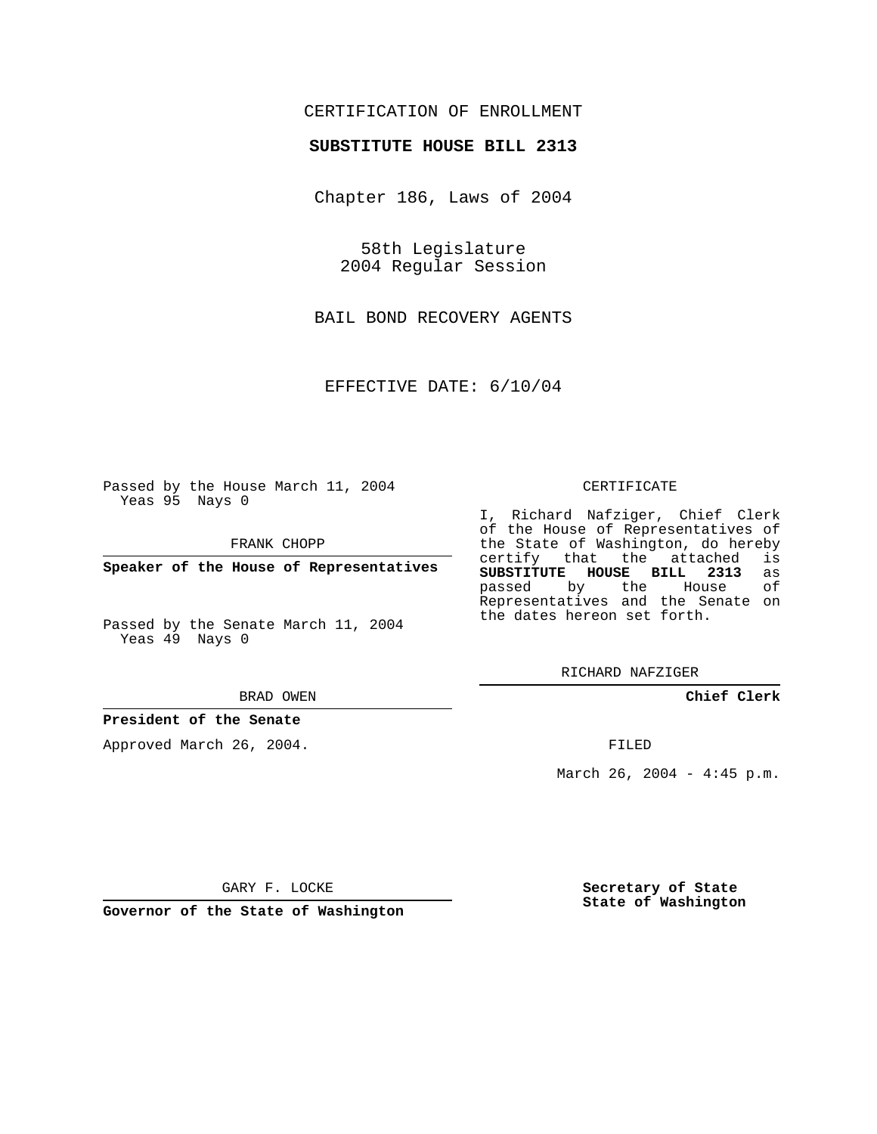## CERTIFICATION OF ENROLLMENT

#### **SUBSTITUTE HOUSE BILL 2313**

Chapter 186, Laws of 2004

58th Legislature 2004 Regular Session

BAIL BOND RECOVERY AGENTS

EFFECTIVE DATE: 6/10/04

Passed by the House March 11, 2004 Yeas 95 Nays 0

FRANK CHOPP

**Speaker of the House of Representatives**

Passed by the Senate March 11, 2004 Yeas 49 Nays 0

BRAD OWEN

### **President of the Senate**

Approved March 26, 2004.

#### CERTIFICATE

I, Richard Nafziger, Chief Clerk of the House of Representatives of the State of Washington, do hereby<br>certify that the attached is certify that the attached **SUBSTITUTE HOUSE BILL 2313** as passed by the Representatives and the Senate on the dates hereon set forth.

RICHARD NAFZIGER

**Chief Clerk**

FILED

March 26, 2004 -  $4:45$  p.m.

GARY F. LOCKE

**Governor of the State of Washington**

**Secretary of State State of Washington**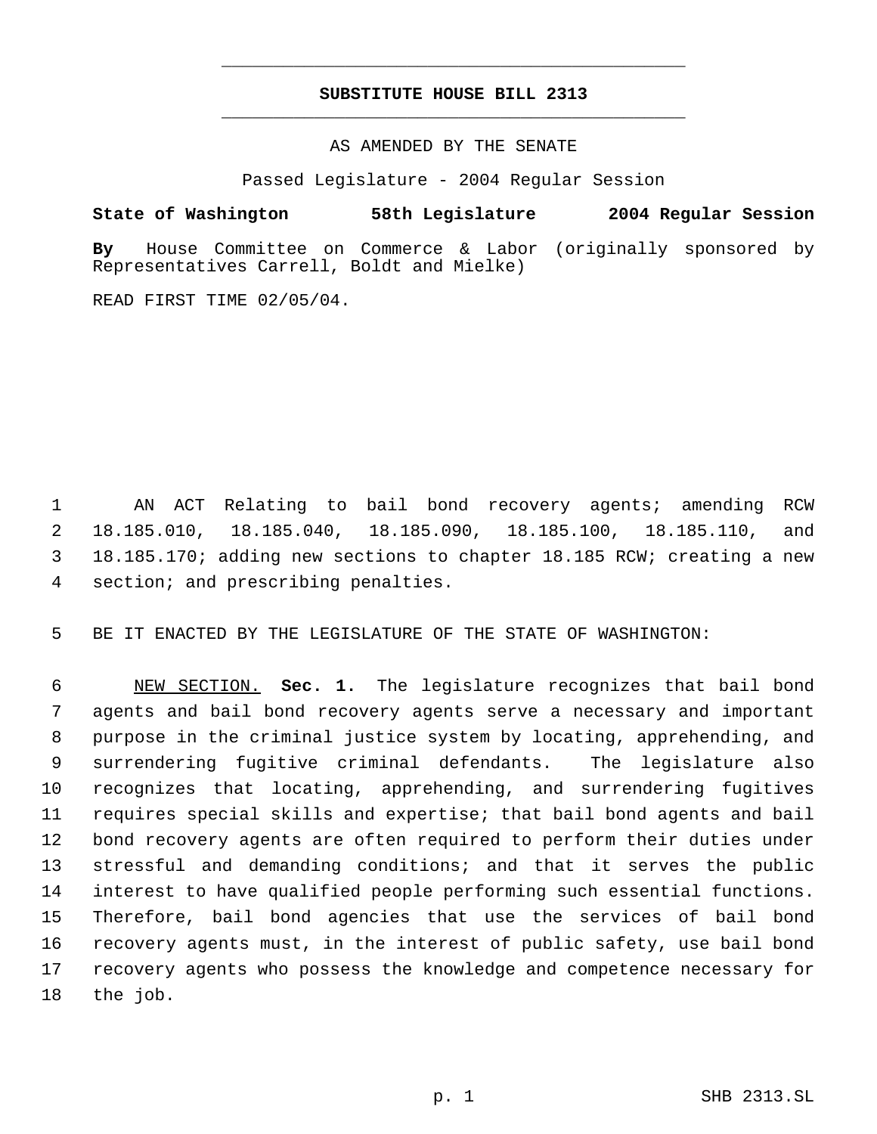# **SUBSTITUTE HOUSE BILL 2313** \_\_\_\_\_\_\_\_\_\_\_\_\_\_\_\_\_\_\_\_\_\_\_\_\_\_\_\_\_\_\_\_\_\_\_\_\_\_\_\_\_\_\_\_\_

\_\_\_\_\_\_\_\_\_\_\_\_\_\_\_\_\_\_\_\_\_\_\_\_\_\_\_\_\_\_\_\_\_\_\_\_\_\_\_\_\_\_\_\_\_

AS AMENDED BY THE SENATE

Passed Legislature - 2004 Regular Session

**State of Washington 58th Legislature 2004 Regular Session**

**By** House Committee on Commerce & Labor (originally sponsored by Representatives Carrell, Boldt and Mielke)

READ FIRST TIME 02/05/04.

 AN ACT Relating to bail bond recovery agents; amending RCW 18.185.010, 18.185.040, 18.185.090, 18.185.100, 18.185.110, and 18.185.170; adding new sections to chapter 18.185 RCW; creating a new section; and prescribing penalties.

BE IT ENACTED BY THE LEGISLATURE OF THE STATE OF WASHINGTON:

 NEW SECTION. **Sec. 1.** The legislature recognizes that bail bond agents and bail bond recovery agents serve a necessary and important purpose in the criminal justice system by locating, apprehending, and surrendering fugitive criminal defendants. The legislature also recognizes that locating, apprehending, and surrendering fugitives requires special skills and expertise; that bail bond agents and bail bond recovery agents are often required to perform their duties under stressful and demanding conditions; and that it serves the public interest to have qualified people performing such essential functions. Therefore, bail bond agencies that use the services of bail bond recovery agents must, in the interest of public safety, use bail bond recovery agents who possess the knowledge and competence necessary for the job.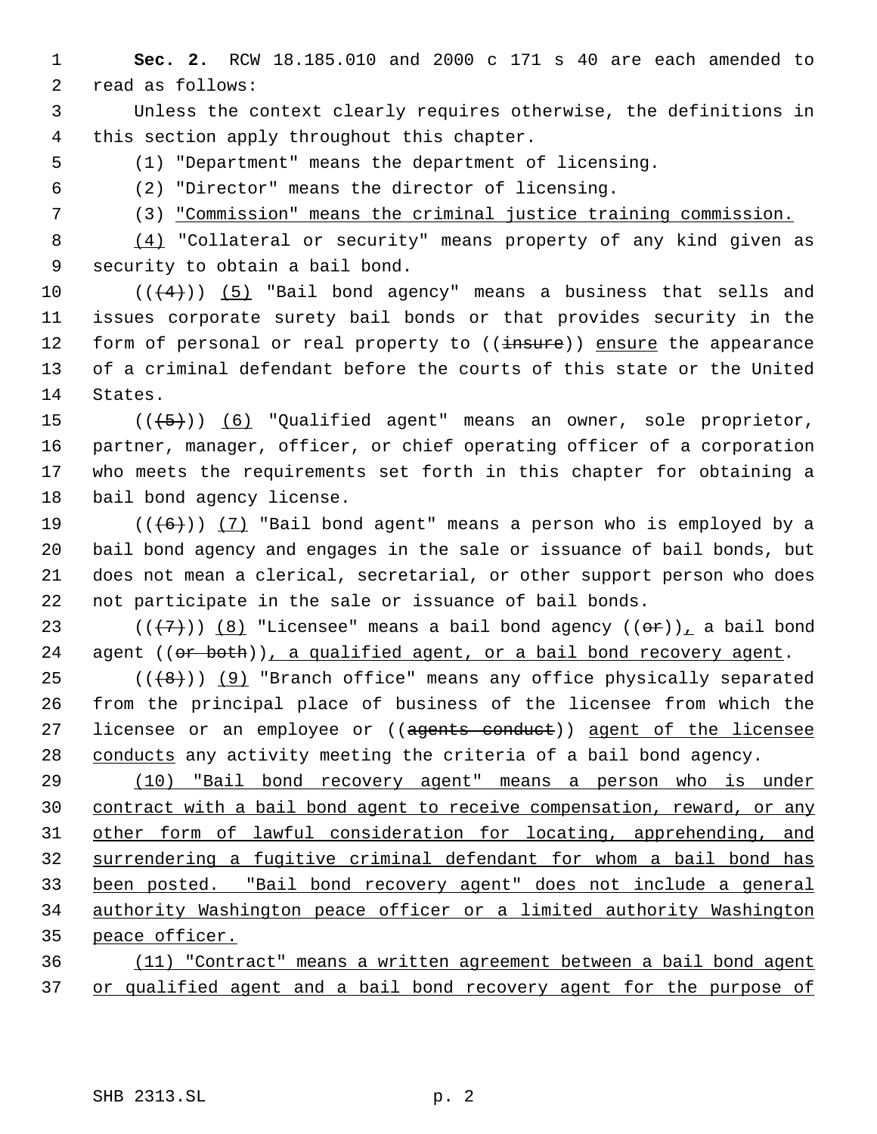**Sec. 2.** RCW 18.185.010 and 2000 c 171 s 40 are each amended to read as follows:

 Unless the context clearly requires otherwise, the definitions in this section apply throughout this chapter.

(1) "Department" means the department of licensing.

(2) "Director" means the director of licensing.

(3) "Commission" means the criminal justice training commission.

 (4) "Collateral or security" means property of any kind given as security to obtain a bail bond.

10  $((+4))$   $(5)$  "Bail bond agency" means a business that sells and issues corporate surety bail bonds or that provides security in the 12 form of personal or real property to ((insure)) ensure the appearance of a criminal defendant before the courts of this state or the United States.

 $((+5))$   $(6)$  "Qualified agent" means an owner, sole proprietor, partner, manager, officer, or chief operating officer of a corporation who meets the requirements set forth in this chapter for obtaining a bail bond agency license.

 $((+6))$   $(7)$  "Bail bond agent" means a person who is employed by a bail bond agency and engages in the sale or issuance of bail bonds, but does not mean a clerical, secretarial, or other support person who does not participate in the sale or issuance of bail bonds.

23 ( $(\overline{+7})$ ) (8) "Licensee" means a bail bond agency  $((\overline{+9})_L$  a bail bond 24 agent  $((or both))_1$  a qualified agent, or a bail bond recovery agent.

25  $((+8))$  (9) "Branch office" means any office physically separated from the principal place of business of the licensee from which the 27 licensee or an employee or ((agents conduct)) agent of the licensee 28 conducts any activity meeting the criteria of a bail bond agency.

 (10) "Bail bond recovery agent" means a person who is under contract with a bail bond agent to receive compensation, reward, or any other form of lawful consideration for locating, apprehending, and surrendering a fugitive criminal defendant for whom a bail bond has been posted. "Bail bond recovery agent" does not include a general authority Washington peace officer or a limited authority Washington peace officer.

 (11) "Contract" means a written agreement between a bail bond agent 37 or qualified agent and a bail bond recovery agent for the purpose of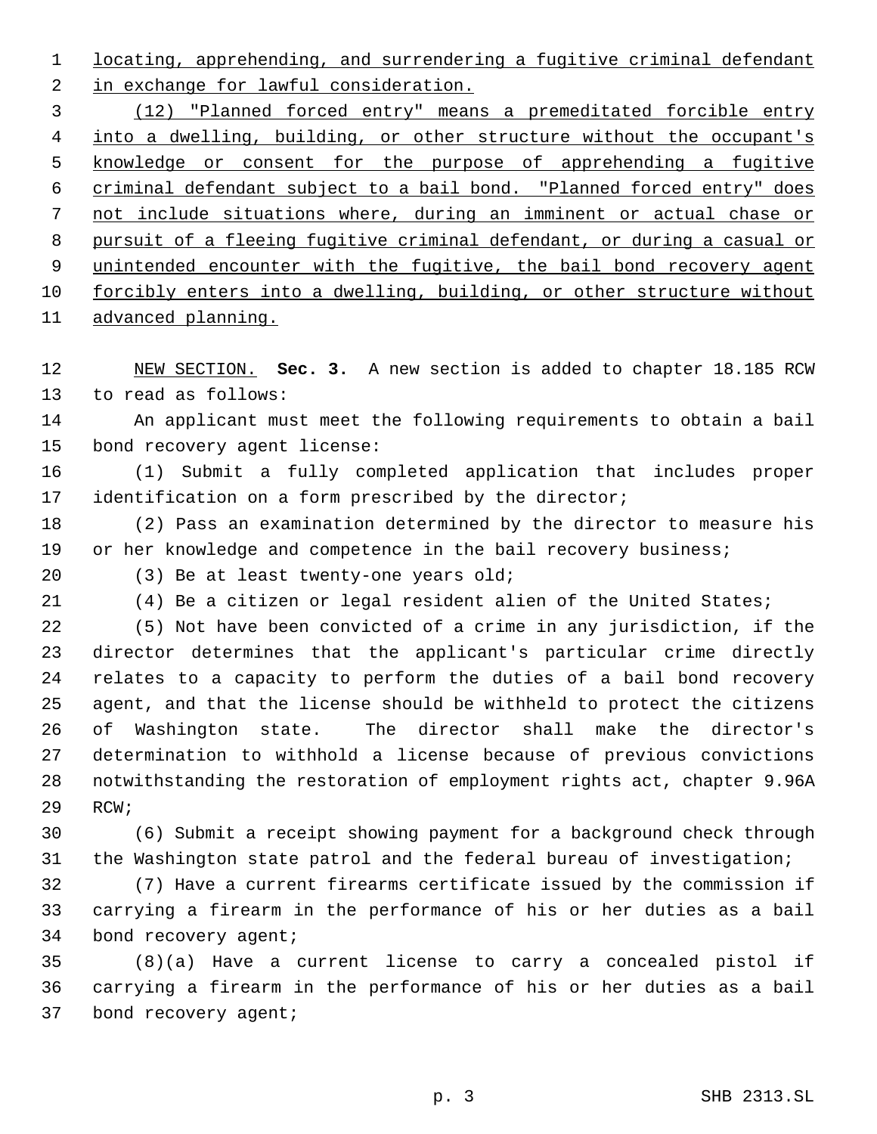1 locating, apprehending, and surrendering a fugitive criminal defendant 2 in exchange for lawful consideration.

 (12) "Planned forced entry" means a premeditated forcible entry 4 into a dwelling, building, or other structure without the occupant's knowledge or consent for the purpose of apprehending a fugitive criminal defendant subject to a bail bond. "Planned forced entry" does not include situations where, during an imminent or actual chase or pursuit of a fleeing fugitive criminal defendant, or during a casual or unintended encounter with the fugitive, the bail bond recovery agent forcibly enters into a dwelling, building, or other structure without advanced planning.

 NEW SECTION. **Sec. 3.** A new section is added to chapter 18.185 RCW to read as follows:

 An applicant must meet the following requirements to obtain a bail bond recovery agent license:

 (1) Submit a fully completed application that includes proper identification on a form prescribed by the director;

 (2) Pass an examination determined by the director to measure his 19 or her knowledge and competence in the bail recovery business;

(3) Be at least twenty-one years old;

(4) Be a citizen or legal resident alien of the United States;

 (5) Not have been convicted of a crime in any jurisdiction, if the director determines that the applicant's particular crime directly relates to a capacity to perform the duties of a bail bond recovery agent, and that the license should be withheld to protect the citizens of Washington state. The director shall make the director's determination to withhold a license because of previous convictions notwithstanding the restoration of employment rights act, chapter 9.96A RCW;

 (6) Submit a receipt showing payment for a background check through the Washington state patrol and the federal bureau of investigation;

 (7) Have a current firearms certificate issued by the commission if carrying a firearm in the performance of his or her duties as a bail bond recovery agent;

 (8)(a) Have a current license to carry a concealed pistol if carrying a firearm in the performance of his or her duties as a bail bond recovery agent;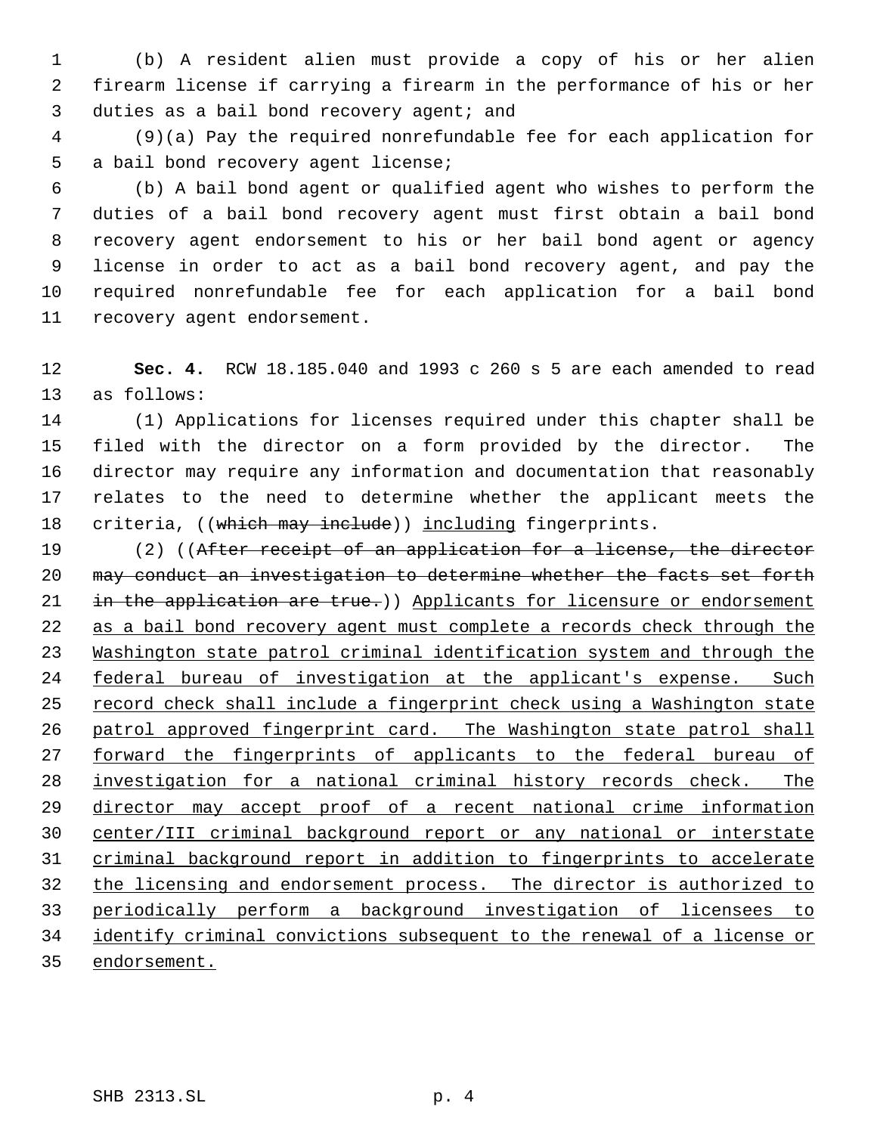(b) A resident alien must provide a copy of his or her alien firearm license if carrying a firearm in the performance of his or her 3 duties as a bail bond recovery agent; and

 (9)(a) Pay the required nonrefundable fee for each application for a bail bond recovery agent license;

 (b) A bail bond agent or qualified agent who wishes to perform the duties of a bail bond recovery agent must first obtain a bail bond recovery agent endorsement to his or her bail bond agent or agency license in order to act as a bail bond recovery agent, and pay the required nonrefundable fee for each application for a bail bond recovery agent endorsement.

 **Sec. 4.** RCW 18.185.040 and 1993 c 260 s 5 are each amended to read as follows:

 (1) Applications for licenses required under this chapter shall be filed with the director on a form provided by the director. The director may require any information and documentation that reasonably relates to the need to determine whether the applicant meets the 18 criteria, ((which may include)) including fingerprints.

 (2) ((After receipt of an application for a license, the director may conduct an investigation to determine whether the facts set forth 21 in the application are true.)) Applicants for licensure or endorsement as a bail bond recovery agent must complete a records check through the Washington state patrol criminal identification system and through the federal bureau of investigation at the applicant's expense. Such 25 record check shall include a fingerprint check using a Washington state patrol approved fingerprint card. The Washington state patrol shall 27 forward the fingerprints of applicants to the federal bureau of investigation for a national criminal history records check. The director may accept proof of a recent national crime information center/III criminal background report or any national or interstate criminal background report in addition to fingerprints to accelerate the licensing and endorsement process. The director is authorized to periodically perform a background investigation of licensees to identify criminal convictions subsequent to the renewal of a license or endorsement.

SHB 2313.SL p. 4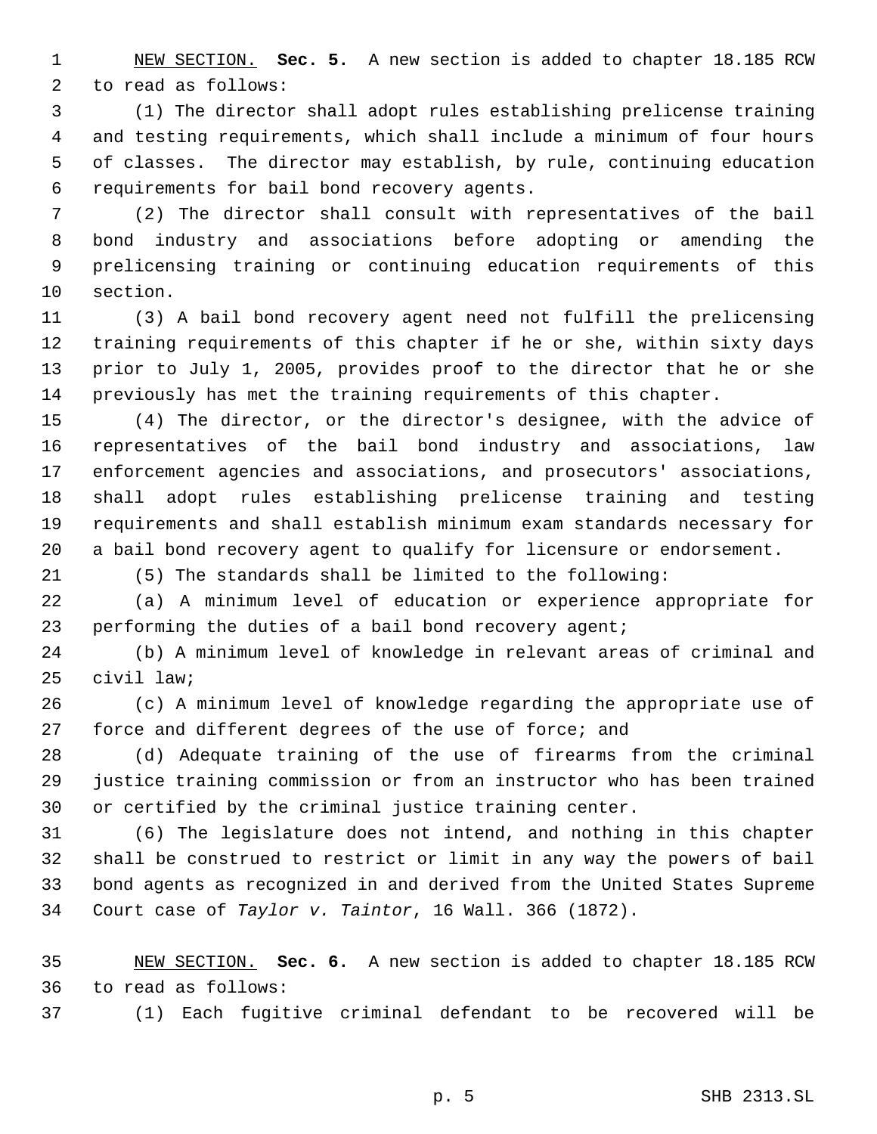NEW SECTION. **Sec. 5.** A new section is added to chapter 18.185 RCW to read as follows:

 (1) The director shall adopt rules establishing prelicense training and testing requirements, which shall include a minimum of four hours of classes. The director may establish, by rule, continuing education requirements for bail bond recovery agents.

 (2) The director shall consult with representatives of the bail bond industry and associations before adopting or amending the prelicensing training or continuing education requirements of this section.

 (3) A bail bond recovery agent need not fulfill the prelicensing training requirements of this chapter if he or she, within sixty days prior to July 1, 2005, provides proof to the director that he or she previously has met the training requirements of this chapter.

 (4) The director, or the director's designee, with the advice of representatives of the bail bond industry and associations, law enforcement agencies and associations, and prosecutors' associations, shall adopt rules establishing prelicense training and testing requirements and shall establish minimum exam standards necessary for a bail bond recovery agent to qualify for licensure or endorsement.

(5) The standards shall be limited to the following:

 (a) A minimum level of education or experience appropriate for performing the duties of a bail bond recovery agent;

 (b) A minimum level of knowledge in relevant areas of criminal and civil law;

 (c) A minimum level of knowledge regarding the appropriate use of force and different degrees of the use of force; and

 (d) Adequate training of the use of firearms from the criminal justice training commission or from an instructor who has been trained or certified by the criminal justice training center.

 (6) The legislature does not intend, and nothing in this chapter shall be construed to restrict or limit in any way the powers of bail bond agents as recognized in and derived from the United States Supreme Court case of *Taylor v. Taintor*, 16 Wall. 366 (1872).

 NEW SECTION. **Sec. 6.** A new section is added to chapter 18.185 RCW to read as follows:

(1) Each fugitive criminal defendant to be recovered will be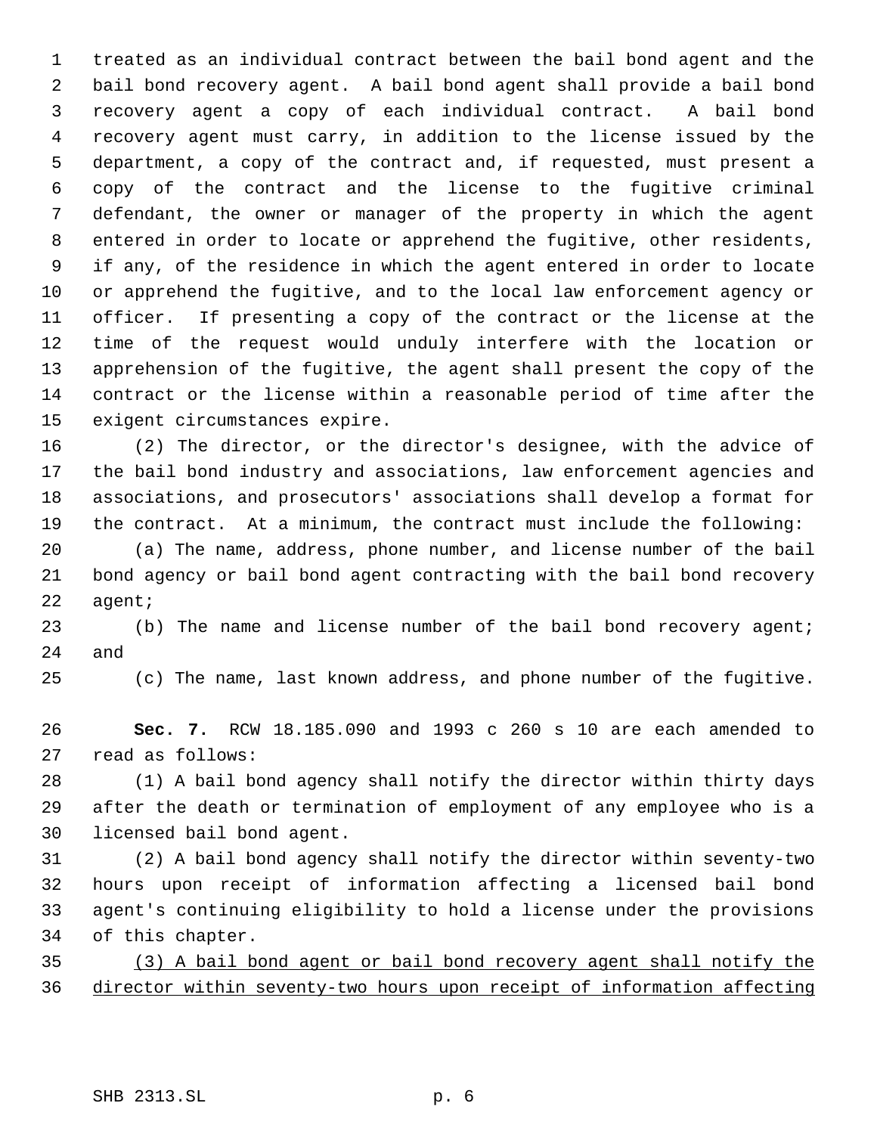treated as an individual contract between the bail bond agent and the bail bond recovery agent. A bail bond agent shall provide a bail bond recovery agent a copy of each individual contract. A bail bond recovery agent must carry, in addition to the license issued by the department, a copy of the contract and, if requested, must present a copy of the contract and the license to the fugitive criminal defendant, the owner or manager of the property in which the agent entered in order to locate or apprehend the fugitive, other residents, if any, of the residence in which the agent entered in order to locate or apprehend the fugitive, and to the local law enforcement agency or officer. If presenting a copy of the contract or the license at the time of the request would unduly interfere with the location or apprehension of the fugitive, the agent shall present the copy of the contract or the license within a reasonable period of time after the exigent circumstances expire.

 (2) The director, or the director's designee, with the advice of the bail bond industry and associations, law enforcement agencies and associations, and prosecutors' associations shall develop a format for the contract. At a minimum, the contract must include the following:

 (a) The name, address, phone number, and license number of the bail bond agency or bail bond agent contracting with the bail bond recovery agent;

 (b) The name and license number of the bail bond recovery agent; and

(c) The name, last known address, and phone number of the fugitive.

 **Sec. 7.** RCW 18.185.090 and 1993 c 260 s 10 are each amended to read as follows:

 (1) A bail bond agency shall notify the director within thirty days after the death or termination of employment of any employee who is a licensed bail bond agent.

 (2) A bail bond agency shall notify the director within seventy-two hours upon receipt of information affecting a licensed bail bond agent's continuing eligibility to hold a license under the provisions of this chapter.

 (3) A bail bond agent or bail bond recovery agent shall notify the director within seventy-two hours upon receipt of information affecting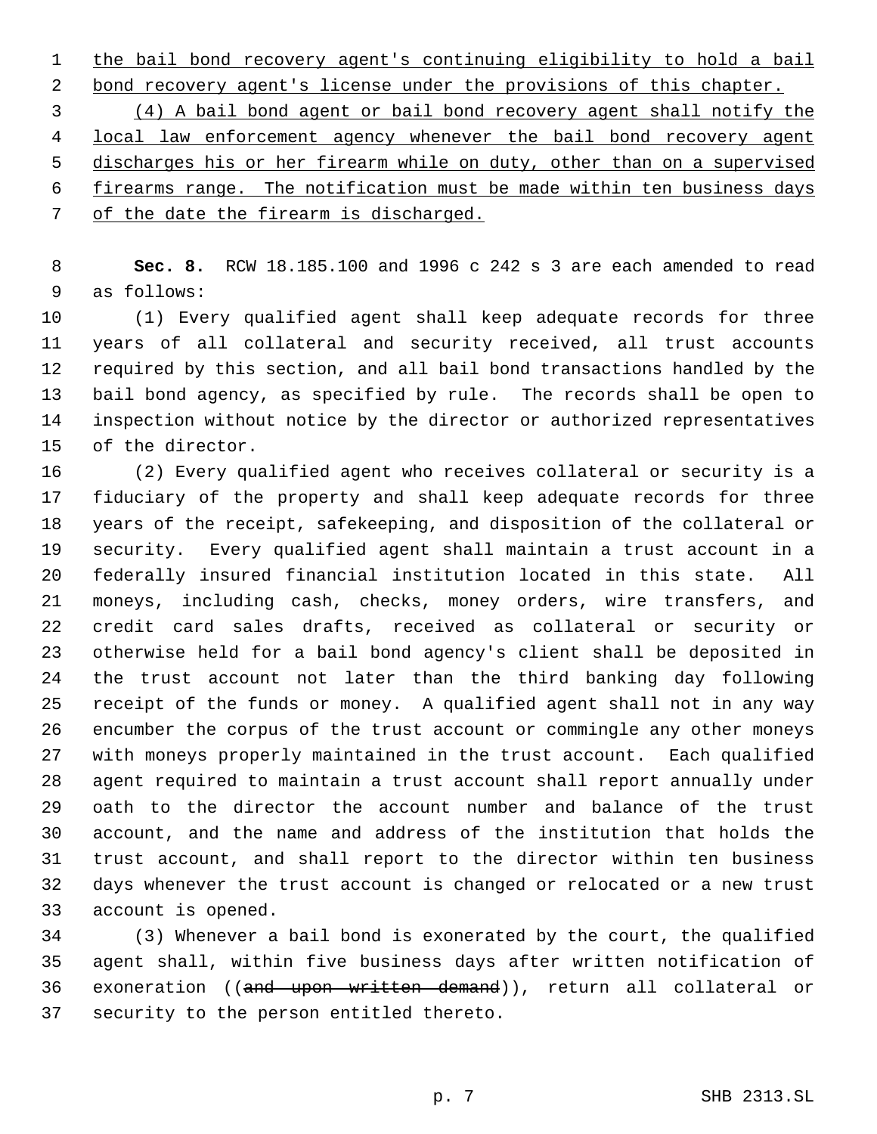the bail bond recovery agent's continuing eligibility to hold a bail

2 bond recovery agent's license under the provisions of this chapter.

 (4) A bail bond agent or bail bond recovery agent shall notify the 4 local law enforcement agency whenever the bail bond recovery agent discharges his or her firearm while on duty, other than on a supervised firearms range. The notification must be made within ten business days of the date the firearm is discharged.

 **Sec. 8.** RCW 18.185.100 and 1996 c 242 s 3 are each amended to read as follows:

 (1) Every qualified agent shall keep adequate records for three years of all collateral and security received, all trust accounts required by this section, and all bail bond transactions handled by the bail bond agency, as specified by rule. The records shall be open to inspection without notice by the director or authorized representatives of the director.

 (2) Every qualified agent who receives collateral or security is a fiduciary of the property and shall keep adequate records for three years of the receipt, safekeeping, and disposition of the collateral or security. Every qualified agent shall maintain a trust account in a federally insured financial institution located in this state. All moneys, including cash, checks, money orders, wire transfers, and credit card sales drafts, received as collateral or security or otherwise held for a bail bond agency's client shall be deposited in the trust account not later than the third banking day following receipt of the funds or money. A qualified agent shall not in any way encumber the corpus of the trust account or commingle any other moneys with moneys properly maintained in the trust account. Each qualified agent required to maintain a trust account shall report annually under oath to the director the account number and balance of the trust account, and the name and address of the institution that holds the trust account, and shall report to the director within ten business days whenever the trust account is changed or relocated or a new trust account is opened.

 (3) Whenever a bail bond is exonerated by the court, the qualified agent shall, within five business days after written notification of exoneration ((and upon written demand)), return all collateral or security to the person entitled thereto.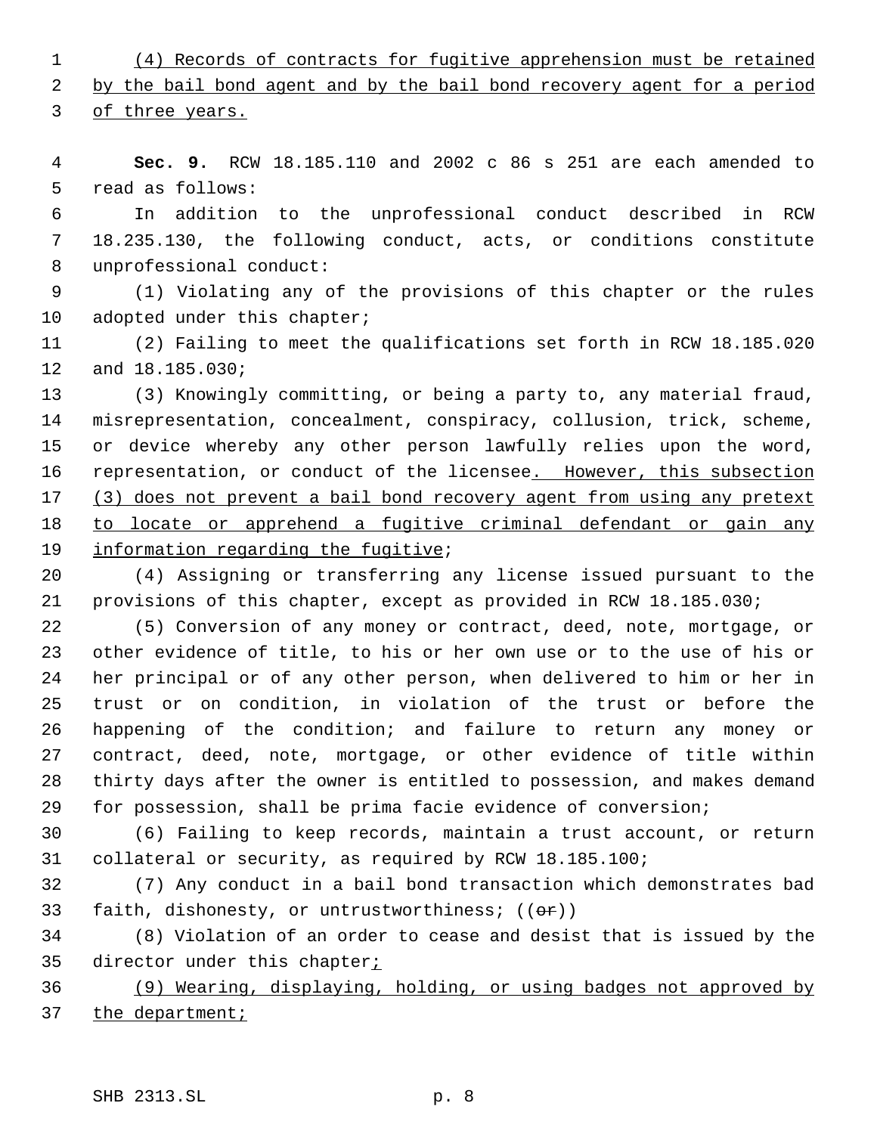(4) Records of contracts for fugitive apprehension must be retained

2 by the bail bond agent and by the bail bond recovery agent for a period

of three years.

 **Sec. 9.** RCW 18.185.110 and 2002 c 86 s 251 are each amended to read as follows:

 In addition to the unprofessional conduct described in RCW 18.235.130, the following conduct, acts, or conditions constitute unprofessional conduct:

 (1) Violating any of the provisions of this chapter or the rules 10 adopted under this chapter;

 (2) Failing to meet the qualifications set forth in RCW 18.185.020 and 18.185.030;

 (3) Knowingly committing, or being a party to, any material fraud, misrepresentation, concealment, conspiracy, collusion, trick, scheme, or device whereby any other person lawfully relies upon the word, 16 representation, or conduct of the licensee. However, this subsection 17 (3) does not prevent a bail bond recovery agent from using any pretext to locate or apprehend a fugitive criminal defendant or gain any 19 information regarding the fugitive;

 (4) Assigning or transferring any license issued pursuant to the provisions of this chapter, except as provided in RCW 18.185.030;

 (5) Conversion of any money or contract, deed, note, mortgage, or other evidence of title, to his or her own use or to the use of his or her principal or of any other person, when delivered to him or her in trust or on condition, in violation of the trust or before the happening of the condition; and failure to return any money or contract, deed, note, mortgage, or other evidence of title within thirty days after the owner is entitled to possession, and makes demand for possession, shall be prima facie evidence of conversion;

 (6) Failing to keep records, maintain a trust account, or return collateral or security, as required by RCW 18.185.100;

 (7) Any conduct in a bail bond transaction which demonstrates bad 33 faith, dishonesty, or untrustworthiness;  $((\theta \cdot \hat{r}))$ 

 (8) Violation of an order to cease and desist that is issued by the 35 director under this chapter<sub>i</sub>

 (9) Wearing, displaying, holding, or using badges not approved by 37 the department;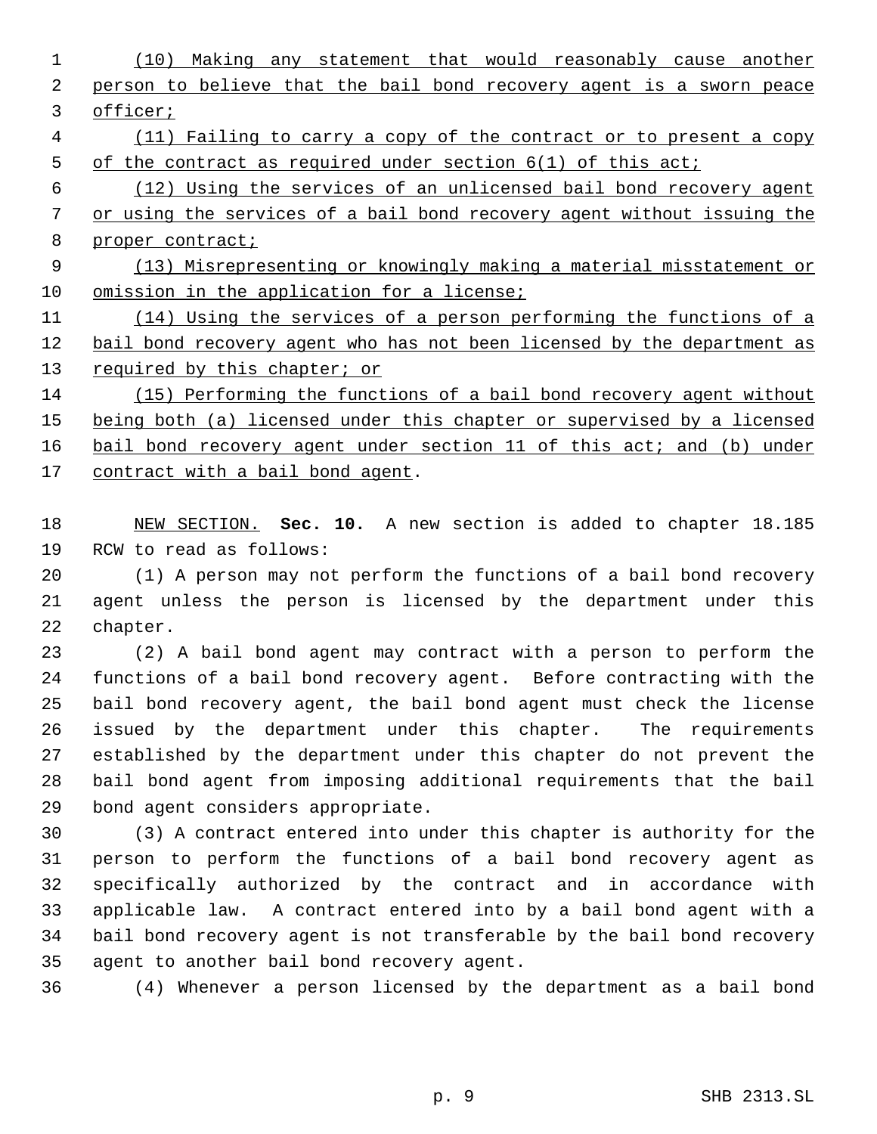- (10) Making any statement that would reasonably cause another person to believe that the bail bond recovery agent is a sworn peace officer;
- (11) Failing to carry a copy of the contract or to present a copy of the contract as required under section 6(1) of this act;

 (12) Using the services of an unlicensed bail bond recovery agent or using the services of a bail bond recovery agent without issuing the 8 proper contract;

 (13) Misrepresenting or knowingly making a material misstatement or 10 omission in the application for a license;

 (14) Using the services of a person performing the functions of a bail bond recovery agent who has not been licensed by the department as 13 required by this chapter; or

 (15) Performing the functions of a bail bond recovery agent without 15 being both (a) licensed under this chapter or supervised by a licensed 16 bail bond recovery agent under section 11 of this act; and (b) under 17 contract with a bail bond agent.

 NEW SECTION. **Sec. 10.** A new section is added to chapter 18.185 RCW to read as follows:

 (1) A person may not perform the functions of a bail bond recovery agent unless the person is licensed by the department under this chapter.

 (2) A bail bond agent may contract with a person to perform the functions of a bail bond recovery agent. Before contracting with the bail bond recovery agent, the bail bond agent must check the license issued by the department under this chapter. The requirements established by the department under this chapter do not prevent the bail bond agent from imposing additional requirements that the bail bond agent considers appropriate.

 (3) A contract entered into under this chapter is authority for the person to perform the functions of a bail bond recovery agent as specifically authorized by the contract and in accordance with applicable law. A contract entered into by a bail bond agent with a bail bond recovery agent is not transferable by the bail bond recovery agent to another bail bond recovery agent.

(4) Whenever a person licensed by the department as a bail bond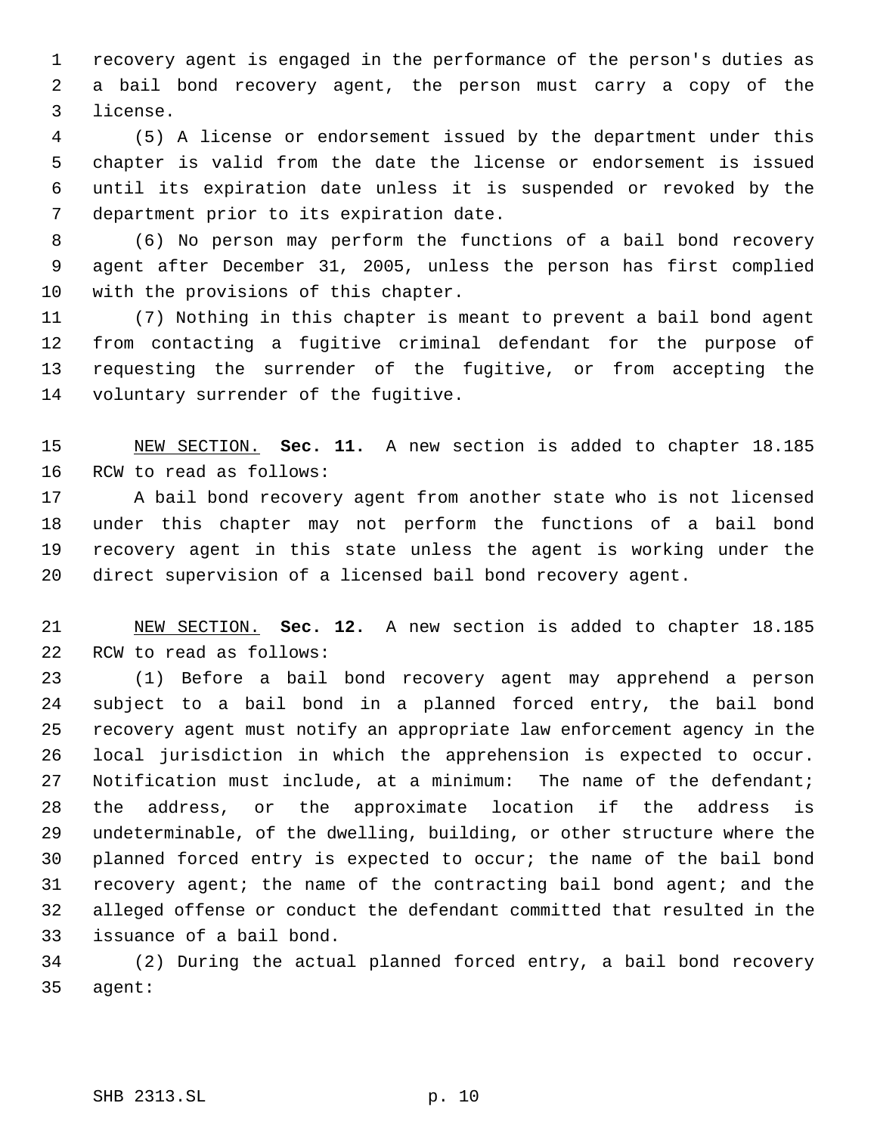recovery agent is engaged in the performance of the person's duties as a bail bond recovery agent, the person must carry a copy of the license.

 (5) A license or endorsement issued by the department under this chapter is valid from the date the license or endorsement is issued until its expiration date unless it is suspended or revoked by the department prior to its expiration date.

 (6) No person may perform the functions of a bail bond recovery agent after December 31, 2005, unless the person has first complied with the provisions of this chapter.

 (7) Nothing in this chapter is meant to prevent a bail bond agent from contacting a fugitive criminal defendant for the purpose of requesting the surrender of the fugitive, or from accepting the voluntary surrender of the fugitive.

 NEW SECTION. **Sec. 11.** A new section is added to chapter 18.185 RCW to read as follows:

 A bail bond recovery agent from another state who is not licensed under this chapter may not perform the functions of a bail bond recovery agent in this state unless the agent is working under the direct supervision of a licensed bail bond recovery agent.

 NEW SECTION. **Sec. 12.** A new section is added to chapter 18.185 RCW to read as follows:

 (1) Before a bail bond recovery agent may apprehend a person subject to a bail bond in a planned forced entry, the bail bond recovery agent must notify an appropriate law enforcement agency in the local jurisdiction in which the apprehension is expected to occur. Notification must include, at a minimum: The name of the defendant; the address, or the approximate location if the address is undeterminable, of the dwelling, building, or other structure where the planned forced entry is expected to occur; the name of the bail bond recovery agent; the name of the contracting bail bond agent; and the alleged offense or conduct the defendant committed that resulted in the issuance of a bail bond.

 (2) During the actual planned forced entry, a bail bond recovery agent: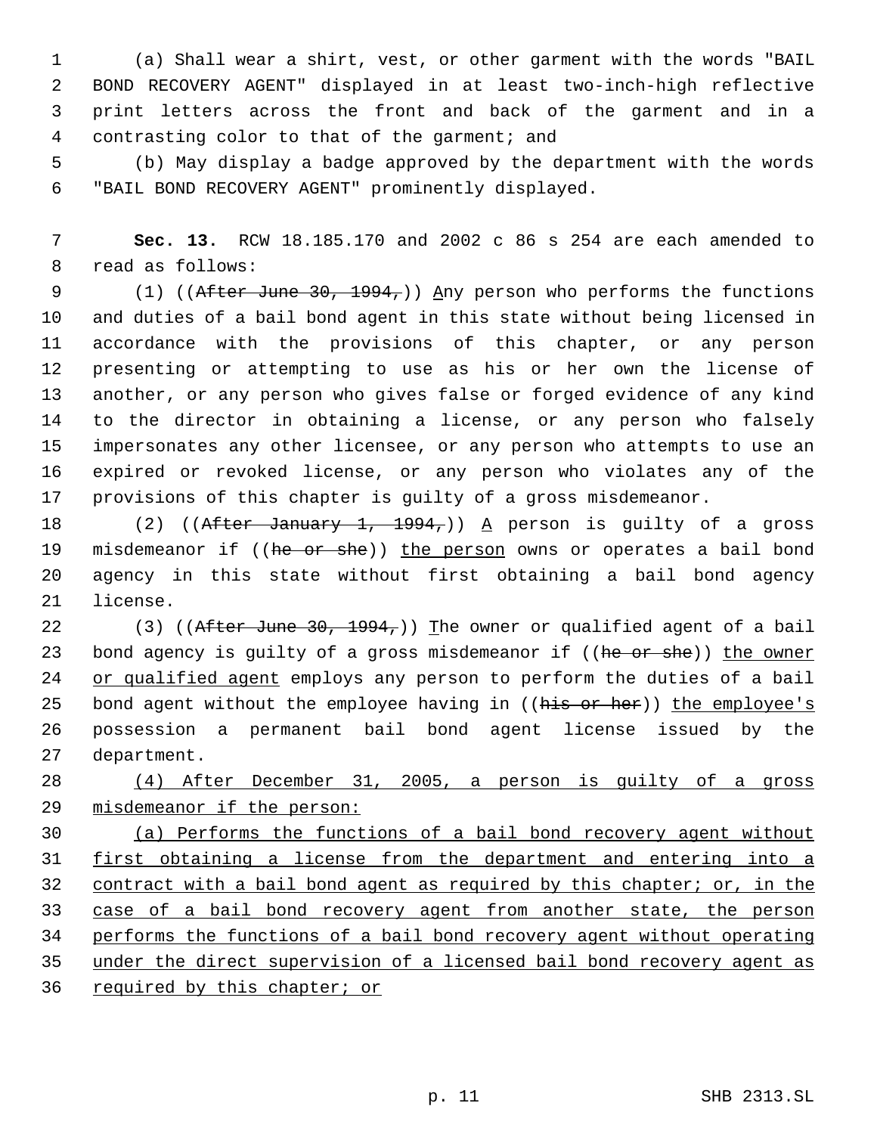(a) Shall wear a shirt, vest, or other garment with the words "BAIL BOND RECOVERY AGENT" displayed in at least two-inch-high reflective print letters across the front and back of the garment and in a contrasting color to that of the garment; and

 (b) May display a badge approved by the department with the words "BAIL BOND RECOVERY AGENT" prominently displayed.

 **Sec. 13.** RCW 18.185.170 and 2002 c 86 s 254 are each amended to read as follows:

9 (1) ((After June 30, 1994,)) Any person who performs the functions and duties of a bail bond agent in this state without being licensed in accordance with the provisions of this chapter, or any person presenting or attempting to use as his or her own the license of another, or any person who gives false or forged evidence of any kind to the director in obtaining a license, or any person who falsely impersonates any other licensee, or any person who attempts to use an expired or revoked license, or any person who violates any of the provisions of this chapter is guilty of a gross misdemeanor.

18 (2) ((After January 1, 1994,)) A person is guilty of a gross 19 misdemeanor if ((he or she)) the person owns or operates a bail bond agency in this state without first obtaining a bail bond agency license.

22 (3) ((After June 30, 1994,)) The owner or qualified agent of a bail 23 bond agency is guilty of a gross misdemeanor if ((he or she)) the owner 24 or qualified agent employs any person to perform the duties of a bail 25 bond agent without the employee having in ((his or her)) the employee's possession a permanent bail bond agent license issued by the department.

 (4) After December 31, 2005, a person is guilty of a gross misdemeanor if the person:

 (a) Performs the functions of a bail bond recovery agent without first obtaining a license from the department and entering into a 32 contract with a bail bond agent as required by this chapter; or, in the 33 case of a bail bond recovery agent from another state, the person performs the functions of a bail bond recovery agent without operating under the direct supervision of a licensed bail bond recovery agent as 36 required by this chapter; or